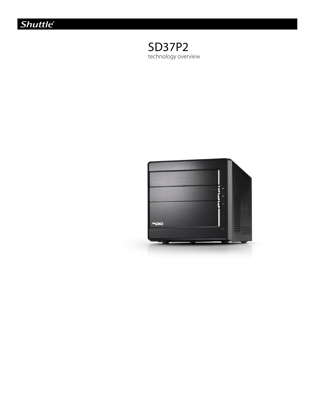



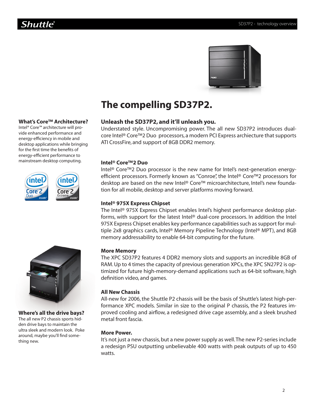

# **The compelling SD37P2.**

# **Unleash the SD37P2, and it'll unleash you.**

Understated style. Uncompromising power. The all new SD37P2 introduces dualcore Intel® Core™2 Duo processors, a modern PCI Express archiecture that supports ATI CrossFire, and support of 8GB DDR2 memory.

# **Intel® Core™2 Duo**

Intel® Core™2 Duo processor is the new name for Intel's next-generation energyefficient processors. Formerly known as "Conroe", the Intel® Core™2 processors for desktop are based on the new Intel® Core™ microarchitecture, Intel's new foundation for all mobile, desktop and server platforms moving forward.

# **Intel® 975X Express Chipset**

The Intel® 975X Express Chipset enables Intel's highest performance desktop platforms, with support for the latest Intel® dual-core processors. In addition the Intel 975X Express Chipset enables key performance capabilities such as support for multiple 2x8 graphics cards, Intel® Memory Pipeline Technology (Intel® MPT), and 8GB memory addressability to enable 64-bit computing for the future.

# **More Memory**

The XPC SD37P2 features 4 DDR2 memory slots and supports an incredible 8GB of RAM. Up to 4 times the capacity of previous generation XPCs, the XPC SN27P2 is optimized for future high-memory-demand applications such as 64-bit software, high definition video, and games.

# **All New Chassis**

All-new for 2006, the Shuttle P2 chassis will be the basis of Shuttle's latest high-performance XPC models. Similar in size to the original P chassis, the P2 features improved cooling and airflow, a redesigned drive cage assembly, and a sleek brushed metal front fascia.

# **More Power.**

It's not just a new chassis, but a new power supply as well. The new P2-series include a redesign PSU outputting unbelievable 400 watts with peak outputs of up to 450 watts.



**What's Core™ Architecture?** Intel® Core™ architecture will provide enhanced performance and energy-efficiency in mobile and desktop applications while bringing for the first time the benefits of energy-efficient performance to mainstream desktop computing.

Core

## **Where's all the drive bays?**

The all new P2 chassis sports hidden drive bays to maintain the ultra sleek and modern look. Poke around, maybe you'll find something new.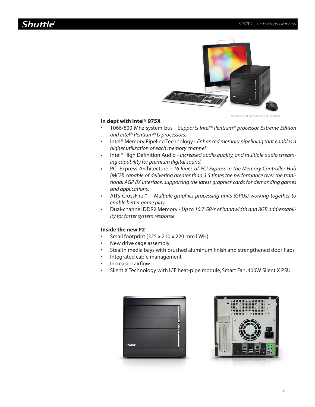# **Shuttle®**



\*Monitor and accessories not included.

#### **In dept with Intel® 975X**

- 1066/800 Mhz system bus *Supports Intel® Pentium® processor Extreme Edition and Intel® Pentium® D processors.* •
- Intel® Memory Pipeline Technology *Enhanced memory pipelining that enables a higher utilization of each memory channel.* •
- Intel® High Definition Audio *Increased audio quality, and multiple audio streaming capability for premium digital sound.* •
- PCI Express Architecture *16 lanes of PCI Express in the Memory Controller Hub (MCH) capable of delivering greater than 3.5 times the performance over the traditional AGP 8X interface, supporting the latest graphics cards for demanding games and applications.* •
- ATI's CrossFire™ *Multiple graphics processing units (GPUs) working together to enable better game play.* •
- Dual-channel DDR2 Memory *Up to 10.7 GB/s of bandwidth and 8GB addressability for faster system response.* •

#### **Inside the new P2**

•

- Small footprint (325 x 210 x 220 mm LWH)
- New drive cage assembly •
- Stealth media bays with brushed aluminum finish and strengthened door flaps •
- Integrated cable management •
- Increased airflow •
- Silent X Technology with ICE heat-pipe module, Smart Fan, 400W Silent X PSU •